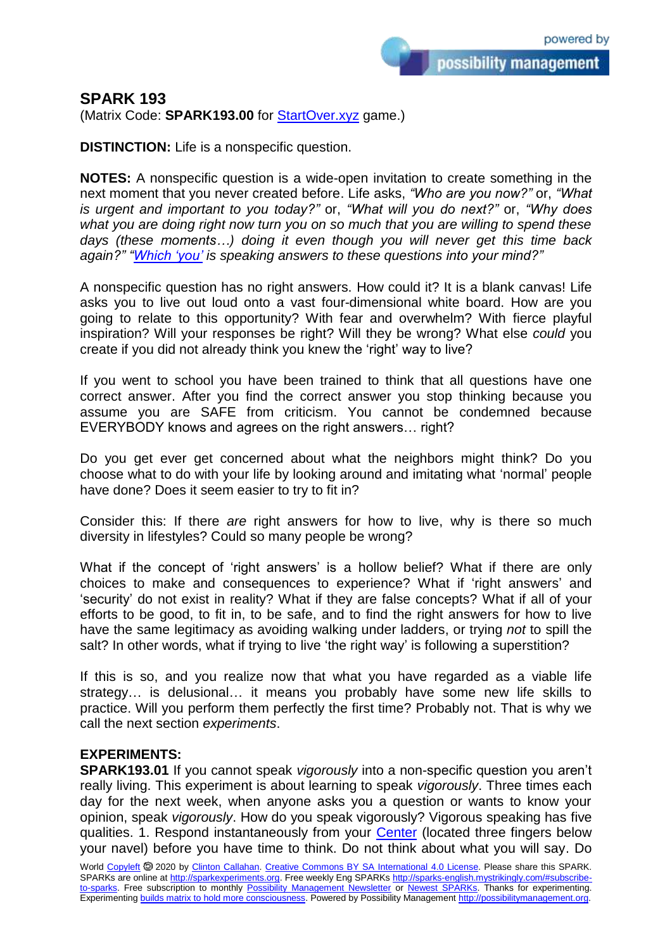possibility management

## **SPARK 193**

(Matrix Code: **SPARK193.00** for **StartOver.xyz** game.)

**DISTINCTION:** Life is a nonspecific question.

**NOTES:** A nonspecific question is a wide-open invitation to create something in the next moment that you never created before. Life asks, *"Who are you now?"* or, *"What is urgent and important to you today?"* or, *"What will you do next?"* or, *"Why does what you are doing right now turn you on so much that you are willing to spend these days (these moments…) doing it even though you will never get this time back again?" ["Which 'you'](http://selfobservation.mystrikingly.com/) is speaking answers to these questions into your mind?"*

A nonspecific question has no right answers. How could it? It is a blank canvas! Life asks you to live out loud onto a vast four-dimensional white board. How are you going to relate to this opportunity? With fear and overwhelm? With fierce playful inspiration? Will your responses be right? Will they be wrong? What else *could* you create if you did not already think you knew the 'right' way to live?

If you went to school you have been trained to think that all questions have one correct answer. After you find the correct answer you stop thinking because you assume you are SAFE from criticism. You cannot be condemned because EVERYBODY knows and agrees on the right answers… right?

Do you get ever get concerned about what the neighbors might think? Do you choose what to do with your life by looking around and imitating what 'normal' people have done? Does it seem easier to try to fit in?

Consider this: If there *are* right answers for how to live, why is there so much diversity in lifestyles? Could so many people be wrong?

What if the concept of 'right answers' is a hollow belief? What if there are only choices to make and consequences to experience? What if 'right answers' and 'security' do not exist in reality? What if they are false concepts? What if all of your efforts to be good, to fit in, to be safe, and to find the right answers for how to live have the same legitimacy as avoiding walking under ladders, or trying *not* to spill the salt? In other words, what if trying to live 'the right way' is following a superstition?

If this is so, and you realize now that what you have regarded as a viable life strategy… is delusional… it means you probably have some new life skills to practice. Will you perform them perfectly the first time? Probably not. That is why we call the next section *experiments*.

## **EXPERIMENTS:**

**SPARK193.01** If you cannot speak *vigorously* into a non-specific question you aren't really living. This experiment is about learning to speak *vigorously*. Three times each day for the next week, when anyone asks you a question or wants to know your opinion, speak *vigorously*. How do you speak vigorously? Vigorous speaking has five qualities. 1. Respond instantaneously from your [Center](http://becomecentered.mystrikingly.com/) (located three fingers below your navel) before you have time to think. Do not think about what you will say. Do